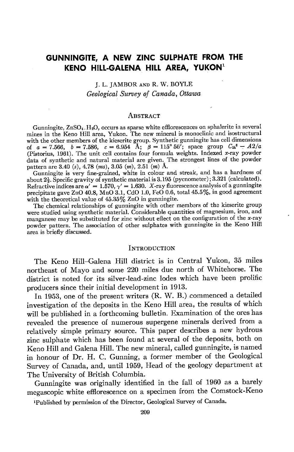# GUNNINGITE, A NEW ZINC SULPHATE FROM THE KENO HILL-GALENA HILL AREA, YUKON<sup>1</sup>

I. L. IAMBOR AND R. W. BOYLE Geological Survey of Canada, Ottawa

#### **ABSTRACT**

Gunningite,  $ZnSO_4$ . H<sub>2</sub>O, occurs as sparse white efflorescences on sphalerite in several mines in the Keno Hill area, Yukon. The new mineral is monoclinic and isostructural with the other members of the kieserite group. Synthetic gunningite has cell dimensions of  $a=7.566$ ,  $b=7.586$ ,  $c=6.954$  A;  $\beta=115^{\circ}56'$ ; space group  $C_{2h}$ <sup>6</sup> - A2/a (Pistorius, 1961). The unit cell contains four formula weights. Indexed  $x$ -ray powder data of synthetic and natural material are given.^ The strongest lines of the powdei pattern are  $3.40$  (s),  $4.78$  (ms),  $3.05$  (m),  $2.51$  (m) A.

Gunningite is very fine-grained, white in colour and streak, and has a hardness of about  $2\frac{1}{2}$ . Specific gravity of synthetic material is 3.195 (pycnometer); 3.321 (calculated). Refractive indices are  $\alpha' = 1.570$ ,  $\gamma' = 1.630$ . X-ray fluorescence analysis of a gunningite precipitate gave ZnO 40.8, MnO 3.1, CdO 1.0, FeO 0.6, total 45.5%, in good agreement with the theoretical value of  $45.35\%$  ZnO in gunningite.

The chemical relationships of gunningite with other members of the kieserite group were studied using synthetic material. Considerable quantities of magnesium, iron, and manganese may be substituted for zinc without effect on the configuration of the x-ray powder pattern. The association of other sulphates with gunningite in the Keno Hill area is briefly discussed.

### **INTRODUCTION**

The Keno Hill-Galena Hill district is in Central Yukon, 35 miles northeast of Mayo and some 220 miles due north of Whitehorse. The district is noted for its silver-lead-zinc lodes which have been prolific producers since their initial development in 1913.

In 1953, one of the present writers (R. W. B.) commenced a detailed investigation of the deposits in the Keno Hill area, the results of which will be published in a forthcoming bulletin. Examination of the ores has revealed the presence of numerous supergene minerals derived from a relatively simple primary source. This paper describes a new hydrous zinc sulphate which has been found at several of the deposits, both on Keno Hill and Galena Hill. The new mineral, called gunningite, is named in honour of Dr. H. C. Gunning, a former member of the Geological Survey of Canada, and, until 1959, Head of the geology department at The University of British Columbia.

Gunningite was originally identified in the fall of 1960 as a barely megascopic white effiorescence on a specimen from the Comstock-Keno

<sup>1</sup>Published by permission of the Director, Geological Survey of Canada.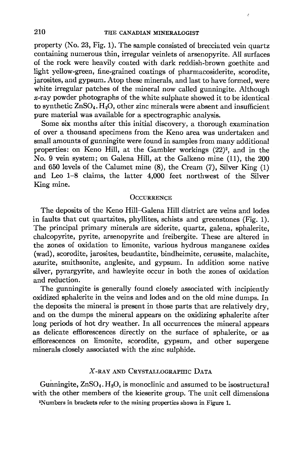property (No. 23, Fig. 1). The sample consisted of brecciated vein quartz containing numerous thin, irregular veinlets of arsenopyrite. All surfaces of the rock were heavily coated with dark reddish-brown goethite and light yellow-green, fine-grained coatings of pharmacosiderite, scorodite, jarosites, and gypsum. Atop these minerals, and last to have formed, were white irregular patches of the mineral now called gunningite. Although  $x$ -ray powder photographs of the white sulphate showed it to be identical to synthetic  $ZnSO_4$ . H<sub>2</sub>O, other zinc minerals were absent and insufficient pure material was available for a spectrographic analysis.

Some six months after this initial discovery, a thorough examination of over a thousand specimens from the Keno area was undertaken and small amounts of gunningite were found in samples from many additional properties: on Keno Hill, at the Gambler workings (22)2, and in the No. 9 vein system; on Galena Hill, at the Galkeno mine (11), the 200 and  $650$  levels of the Calumet mine  $(8)$ , the Cream  $(7)$ , Silver King  $(1)$ and Leo 1-8 claims, the latter 4,000 feet northwest of the Silver King mine.

#### **OCCURRENCE**

The deposits of the Keno Hill-Galena Hill district are veins and lodes in faults that cut quartzites, phyllites, schists and greenstones (Fig. 1). The principal primary minerals are siderite, quartz, galena, sphalerite, chalcopyrite, pyrite, arsenopyrite and freibergite. These are altered in the zones of oxidation to limonite, various hydrous manganese oxides (wad), scorodite, jarosites, beudantite, bindheimite, cerussite, malachite, azurite, smithsonite, anglesite, and gypsum. In addition some native silver, pyrargyrite, and hawleyite occur in both the zones of oxidation and reduction.

The gunningite is generally found closely associated with incipiently oxidized sphalerite in the veins and lodes and on the old mine dumps. In the deposits the mineral is present in those parts that are relatively dry, and on the dumps the mineral appears on the oxidizing sphalerite after long periods of hot dry weather. In all occurrences the mineral appears as delicate effiorescences directly on the surface of sphalerite, or as efflorescences on limonite, scorodite, gypsum, and other supergene minerals closely associated with the zinc sulphide.

## $X$ -ray and Crystallographic Data

Gunningite,  $ZnSO_4$ . H<sub>2</sub>O, is monoclinic and assumed to be isostructural with the other members of the kieserite group. The unit cell dimensions

zNumbers in brackets refer to the mining properties shown in Figure 1.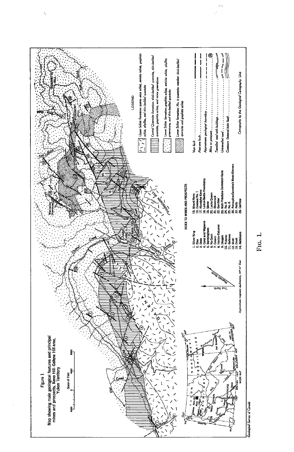

i.

FIG. 1.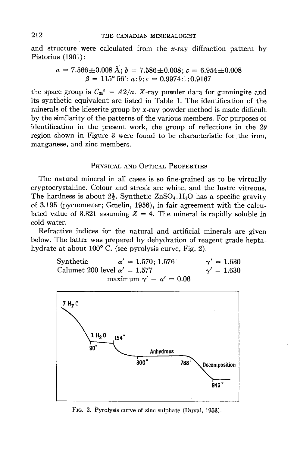and structure were calculated from the  $x$ -ray diffraction pattern by Pistorius (1961):

$$
a = 7.566 \pm 0.008 \text{ Å}; b = 7.586 \pm 0.008; c = 6.954 \pm 0.008
$$
  

$$
\beta = 115^{\circ} 56'; a:b:c = 0.9974:1:0.9167
$$

the space group is  $C_{2h}^6 - A^2/a$ . X-ray powder data for gunningite and its synthetic equivalent are listed in Table 1. The identification of the minerals of the kieserite group by x-ray powder method is made difficult by the similarity of the patterns of the various members. For purposes of identification in the present work, the group of reflections in the  $2\theta$ region shown in Figure 3 were found to be characteristic for the iron, manganese, and zinc members.

## PHYSICAL AND OPTICAL PROPERTIES

The natural mineral in all cases is so fine-grained as to be virtually cryptocrystalline. Colour and streak are white, and the lustre vitreous. The hardness is about  $2\frac{1}{2}$ . Synthetic ZnSO<sub>4</sub>. H<sub>2</sub>O has a specific gravity of 3.195 (pycnometer; Gmelin, 1956), in fair agreement with the calculated value of 3.321 assuming  $Z = 4$ . The mineral is rapidly soluble in cold water.

Refractive indices for the natural and artificial minerals are given below. The latter was prepared by dehydration of reagent grade heptahydrate at about 100'C. (see pyrolysis curve, Fig. 2).

> Synthetic  $\alpha' = 1.570; 1.576$   $\gamma' = 1.630$ <br>Calumet 200 level  $\alpha' = 1.577$   $\gamma' = 1.630$ Calumet 200 level  $\alpha' = 1.577$ maximum  $\gamma' - \alpha' = 0.06$



Frc. 2. Pyrolysis curve of zinc sulphate (Duval, 1953).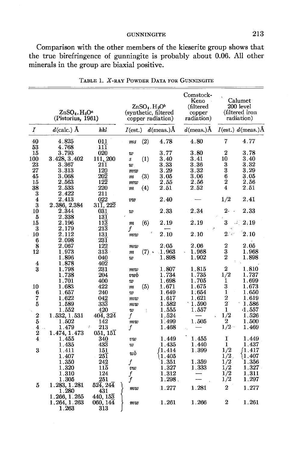**GUNNINGITE** 

Comparison with the other members of the kieserite group shows that the true birefringence of gunningite is probably about 0.06. All other minerals in the group are biaxial positive.

|                         | $\rm ZnSO_4. H_2O^a$<br>(Pistorius, 1961) |                                     | $ZnSO4$ . $H2Ob$<br>(synthetic, filtered | copper radiation) | Comstock-<br>Keno<br>(filtered<br>copper<br>radiation) |                  | Calumet<br>200 level<br>(filtered iron<br>radiation) |
|-------------------------|-------------------------------------------|-------------------------------------|------------------------------------------|-------------------|--------------------------------------------------------|------------------|------------------------------------------------------|
| Ι                       | $d$ (calc.) $\AA$                         | hkl                                 | $I(\mathrm{est.})$                       | $d$ (meas.) $\AA$ | $d$ (meas.) $\AA$                                      |                  | $I(est.)$ d(meas.)Å                                  |
| 40                      | 4.825                                     | 011                                 | (2)<br>ms                                | 4.78              | 4.80                                                   | 7                | 4.77                                                 |
| 53                      | 4.768                                     | 111                                 |                                          |                   |                                                        |                  |                                                      |
| 15                      | 3.793                                     | 020                                 | w                                        | 3.77              | 3.80                                                   | 2                | 3.78                                                 |
| 100                     | 3.428, 3.402                              | 111, 200                            | $\left(1\right)$<br>S                    | $3.40\,$          | 3.41                                                   | 10               | $3.40\,$<br>3.32                                     |
| 23<br>27                | 3.367<br>3.313                            | 211<br>120                          | w                                        | 3.33<br>3.29      | 3.36<br>3.32                                           | 3<br>3           | 3.29                                                 |
| 45                      | 3.068                                     | 202                                 | mw<br>(3)                                | 3.05              | 3.06                                                   | $\boldsymbol{6}$ | $3.05\,$                                             |
| 15                      | 2.563                                     | $12\overline{2}$                    | m<br>mw                                  | 2.55              | 2.56                                                   | $\boldsymbol{2}$ | 2.56                                                 |
| 38                      | 2.533                                     | 220                                 | (4)<br>m                                 | 2.51              | 2.52                                                   | 4                | 2.51                                                 |
| $\overline{\mathbf{3}}$ | 2.422                                     | 211                                 |                                          |                   |                                                        |                  |                                                      |
| $\overline{4}$          | 2.413                                     | 022                                 | ยขย                                      | 2.40              |                                                        | 1/2              | 2.41                                                 |
| 3                       | 2.386, 2.384                              | $31\overline{1}$ , $22\overline{2}$ |                                          |                   |                                                        |                  |                                                      |
| 10                      | $2.344\,$                                 | 031                                 | w                                        | 2.33              | 2.34                                                   | $2-$             | 2.33                                                 |
| $\overline{5}$          | 2.338                                     | 131                                 |                                          |                   |                                                        |                  |                                                      |
| 15                      | $2.196\,$                                 | $11\overline{3}$                    | (6)<br>$\boldsymbol{m}$                  | $2.19\,$          | 2.19                                                   | 3                | 4/2.19                                               |
| 3                       | 2.179                                     | 213                                 | f                                        |                   |                                                        |                  |                                                      |
| 10                      | $2.112\,$                                 | 131                                 | mw                                       | 2.10              | 2.10                                                   | $2^{\circ}$      | 2.10                                                 |
| 6                       | 2.098                                     | $23\overline{1}$                    |                                          |                   |                                                        |                  |                                                      |
| 8                       | $2.067\,$                                 | 122                                 | mw                                       | 2.05              | 2.06                                                   | $\bf 2$          | 2.05                                                 |
| 12                      | $1.973\,$                                 | 313                                 | $(7)$ *<br>т                             | 1.963             | 1.968                                                  | 3                | 1.968                                                |
|                         | 1.896                                     | 040                                 | w                                        | 1.898             | $1.902\,$                                              | 2                | 1.898                                                |
| 4                       | 1.878                                     | 402                                 |                                          |                   |                                                        |                  |                                                      |
| 3                       | 1.798                                     | 231                                 | mw                                       | 1.807             | 1.815                                                  | $\bf 2$          | 1.810                                                |
|                         | 1.738                                     | 204                                 | vwb                                      | 1.734             | 1.735                                                  | 1/2              | 1.737                                                |
|                         | 1.701                                     | 400                                 | w                                        | 1.698             | 1.705                                                  | 1                | 1.699                                                |
| 10                      | 1.683                                     | 422                                 | (5)<br>m                                 | 1.671             | 1.675                                                  | 3                | $1.673\,$                                            |
| 6                       | 1.657                                     | 240                                 | w                                        | 1.649             | 1.654                                                  | 1<br>2           | $1.650\,$<br>1.619                                   |
| 7<br>5                  | $1.622\,$<br>1.589                        | 042<br>333                          | m w                                      | 1.617<br>1.582    | 1.621<br>1.590                                         | $\boldsymbol{2}$ | 1.586                                                |
|                         | 1.552                                     | 420                                 | mw                                       | 1.555             | 1.557                                                  | 1                | 4.557                                                |
| $\overline{2}$          | 1.532, 1.531                              | $40\bar{4}$ , $32\bar{4}$           | w<br>ă<br>f                              | 1.524             |                                                        | 1/2              | 1.526                                                |
| $\overline{5}$          | 1.502                                     | 142                                 | mw                                       | 1.499             | 1.505                                                  | 2                | 1.500                                                |
| 4                       | 1.479                                     | Ť<br>213                            | f                                        | 1.468             |                                                        | $1/2 -$          | $1.469\,$                                            |
| $\overline{2}$          | 1.474, 1.473                              | 051, 151                            |                                          |                   |                                                        |                  |                                                      |
| 4                       | 1.455                                     | 340                                 | vw                                       | 1.449             | 1.455                                                  | 1                | 1.449                                                |
|                         | 1.435                                     | 433                                 | w                                        | $1.435\,$         | 1.440                                                  | 1                | 1.437                                                |
| 3                       | 1.411                                     | 151                                 |                                          | 11.414            | 1.399                                                  | 1/2              | 1.417)                                               |
|                         | 1.407                                     | 251                                 | wb                                       | 1.405             |                                                        | $1/2$ .          | 1.407                                                |
|                         | 1.350                                     | 242                                 | f                                        | 1.351             | 1.359                                                  | 1/2              | 1.356                                                |
|                         | 1.320                                     | $11\overline{5}$                    | <b>UW</b>                                | 1.327             | 1.333                                                  | 1/2              | 1.327                                                |
|                         | 1.310                                     | 124                                 | $\int\limits_f$                          | 1.312             |                                                        | 1/2              | 1.311                                                |
|                         | 1.305                                     | 251                                 |                                          | 1.298.            |                                                        | 1/2              | 1.297                                                |
| 5                       | 1.283, 1.281                              | 524, 244                            | mw                                       | 1.277             | 1.281                                                  | 2                | 1.277                                                |
|                         | 1.280                                     | 431                                 |                                          |                   |                                                        |                  |                                                      |
|                         | 1.266, 1.265                              | 440.153                             |                                          |                   |                                                        |                  |                                                      |
|                         | 1.264, 1.263                              | 060, 144                            | mw                                       | 1.261             | 1.266                                                  | 2                | 1.261                                                |
|                         | 1.263                                     | 313                                 |                                          |                   |                                                        |                  |                                                      |

TABLE 1. X-RAY POWDER DATA FOR GUNNINGITE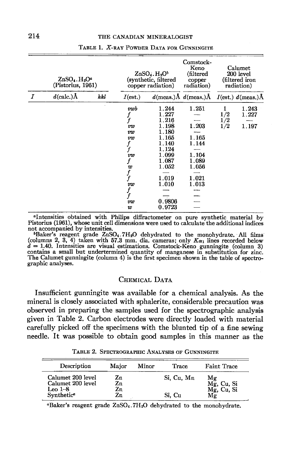|                  | $ZnSO4$ . H <sub>2</sub> O <sup><i>a</i></sup><br>(Pistorius, 1961) |     | $ZnSO4$ . $H2Ob$<br>(synthetic, filtered<br>copper radiation) |        | Comstock-<br>Keno<br>(filtered<br>copper<br>radiation) | Calumet<br>200 level<br>(filtered iron<br>radiation) |                        |
|------------------|---------------------------------------------------------------------|-----|---------------------------------------------------------------|--------|--------------------------------------------------------|------------------------------------------------------|------------------------|
| $\boldsymbol{I}$ | $d$ (calc.) $\AA$                                                   | hkl | $I(\mathrm{est.})$                                            |        | $d$ (meas.) $\AA$ $d$ (meas.) $\AA$                    |                                                      | $I(est.)$ d(meas.) $A$ |
|                  |                                                                     |     | vwb                                                           | 1.244  | 1.251                                                  | 1                                                    | 1.243                  |
|                  |                                                                     |     | $\frac{f}{f}$                                                 | 1.227  |                                                        | 1/2                                                  | 1.227                  |
|                  |                                                                     |     |                                                               | 1.216  |                                                        | 1/2                                                  |                        |
|                  |                                                                     |     | vw                                                            | 1.198  | 1.203                                                  | 1/2                                                  | 1.197                  |
|                  |                                                                     |     | vw                                                            | 1.180  |                                                        |                                                      |                        |
|                  |                                                                     |     | vw                                                            | 1.165  | 1.165                                                  |                                                      |                        |
|                  |                                                                     |     | $\boldsymbol{f}$                                              | 1.140  | 1.144                                                  |                                                      |                        |
|                  |                                                                     |     | f                                                             | 1.124  |                                                        |                                                      |                        |
|                  |                                                                     |     | vw                                                            | 1.099  | 1.104                                                  |                                                      |                        |
|                  |                                                                     |     |                                                               | 1.087  | 1.089                                                  |                                                      |                        |
|                  |                                                                     |     |                                                               | 1.052  | $1.056\,$                                              |                                                      |                        |
|                  |                                                                     |     | $\begin{array}{c} w\\ f\\ f \end{array}$                      |        |                                                        |                                                      |                        |
|                  |                                                                     |     |                                                               | 1.019  | 1.021                                                  |                                                      |                        |
|                  |                                                                     |     | vw                                                            | 1.010  | 1.013                                                  |                                                      |                        |
|                  |                                                                     |     |                                                               |        |                                                        |                                                      |                        |
|                  |                                                                     |     | $\frac{f}{f}$                                                 |        |                                                        |                                                      |                        |
|                  |                                                                     |     | vw                                                            | 0.9806 |                                                        |                                                      |                        |
|                  |                                                                     |     | w                                                             | 0.9723 |                                                        |                                                      |                        |

#### TABLE 1. X-RAY POWDER DATA FOR GUNNINGITE

"Intensities obtained with Philips diffractometer on pure synthetic material by Pistorius (1961), whose unit cell dimensions were used to calculate the additional indices

not accompanied by intensities.<br>
"Baker's reagent grade ZnSO<sub>4</sub>.7H<sub>2</sub>O dehydrated to the monohydrate. All films (columns 2, 3, 4) taken with 57.3 mm. dia. cameras; only  $K\alpha_1$  lines recorded below  $d = 1.40$ . Intensities are visual estimations. Comstock-Keno gunningite (column 3) contains a small but undertermined quantity of manganese in substitution for zinc.<br>The Calumet gunningite (column 4) is the first specimen shown in the table of spectrographic analyses.

## CHEMICAL DATA

Insufficient gunningite was available for a chemical analysis. As the mineral is closely associated with sphalerite, considerable precaution was observed in preparing the samples used for the spectrographic analysis given in Table 2. Carbon electrodes were directly loaded with material carefully picked off the specimens with the blunted tip of a fine sewing needle. It was possible to obtain good samples in this manner as the

| Description            | Major    | Minor | Trace      | <b>Faint Trace</b> |
|------------------------|----------|-------|------------|--------------------|
| Calumet 200 level      |          |       |            |                    |
| Calumet 200 level      | Zn<br>Zn |       | Si, Cu, Mn | Mg<br>Mg, Cu, Si   |
| Leo $1 - 8$            | Zn       |       |            | $Mg$ , Cu, Si      |
| Synthetic <sup>a</sup> | Zn       |       | Si. Cu     | Μg                 |

TABLE 2. SPECTROGRAPHIC ANALYSES OF GUNNINGITE

"Baker's reagent grade ZnSO<sub>4</sub>.7H<sub>2</sub>O dehydrated to the monohydrate.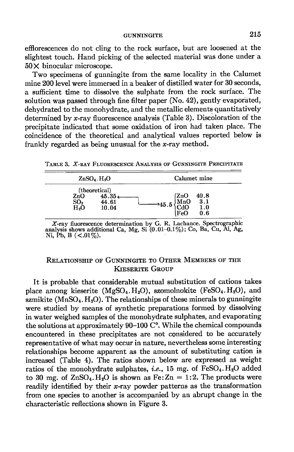effiorescences do not cling to the rock surface, but are loosened at the slightest touch. Hand picking of the selected material was done under a 50X binocular microscope.

Two specimens of gunningite from the same locality in the Calumet mine 200level were immersed in a beaker of distilled water for 30 seconds, a sufrcient time to dissolve the sulphate from the rock surface. The solution was passed through fine filter paper (No. 42), gently evaporated, dehydrated to the monohydrate, and the metallic elements quantitatively determined by x-ray fluorescence analysis (Table 3). Discoloration of the precipitate indicated that some oxidation of iron had taken place. The coincidence of the theoretical and analytical values reported below is frankly regarded as being unusual for the  $x$ -ray method.

TABLE 3. X-RAY FLUORESCENCE ANALYSIS OF GUNNINGITE PRECIPITATE

| $ZnSO4$ . H <sub>2</sub> O     |                                           | Calumet mine                                                          |  |  |
|--------------------------------|-------------------------------------------|-----------------------------------------------------------------------|--|--|
| ZnO<br>SO.<br>H <sub>2</sub> O | (theoretical)<br>45.35c<br>44.61<br>10.04 | (ZnO<br>40.8<br>JMnO<br>3.1<br>$-45.5$<br>1.0<br>$ {\rm FeO} $<br>0.6 |  |  |

X-ray fluorescence determination by G. R. Lachance. Spectrographic analysis shows additional Ca, Mg, Si (0.01–0.1%); Co, Ba, Cu, Al, Ag, Ni, Pb, B  $(<.01\%)$ .

## RELATIONSHIP OF GUNNINGITE TO OTHER MEMBERS OF THE KIESERITE GROUP

It is probable that considerable mutual substitution of cations takes place among kieserite  $(MgSO_4,H_2O)$ , szomolnokite  $(FeSO_4,H_2O)$ , and szmikite ( $MnSO<sub>4</sub>$ ,  $H<sub>2</sub>O$ ). The relationships of these minerals to gunningite were studied by means of synthetic preparations formed by dissolving in water weighed samples of the monohydrate sulphates, and evaporating the solutions at approximately  $90-100$  C°. While the chemical compounds encountered in these precipitates are not considered to be accurately representative of what may occur in nature, nevertheless some interesting relationships become apparent as the amount of substituting cation is increased (Table 4). The ratios shown below are expressed as weight ratios of the monohydrate sulphates, *i.e.*, 15 mg. of  $FeSO<sub>4</sub>$ . H<sub>2</sub>O added to 30 mg. of  $ZnSO<sub>4</sub>$ . H<sub>2</sub>O is shown as Fe:  $Zn = 1:2$ . The products were readily identified by their  $x$ -ray powder patterns as the transformation from one species to another is accompanied by an abrupt change in the characteristic reflections shown in Figure 3.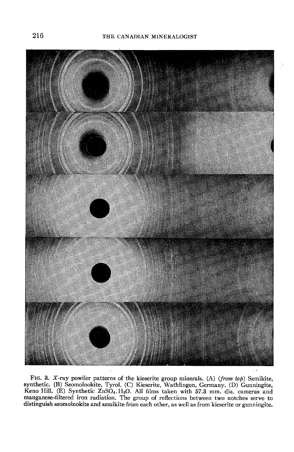

FIG. 3. X-ray powder patterns of the kieserite group minerals. (A) (from top) Szmikite, synthetic. (B) Szomolnokite, Tyrol. (C) Kieserite, Wathlingen, Germany. (D) Gunningite, Keno Hill. (E) Synthetic  $ZnSO_4,H_2O$ . All films taken with 57.3 mm. dia. cameras and manganese-filtered iron radiation. The group of reflections between two notches serve to distinguish szomolnokite and szmikite from each other, as well as from kieserite or gunningiie.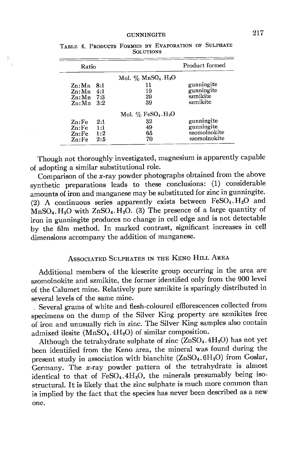| Ratio        |     |                                                | Product formed           |
|--------------|-----|------------------------------------------------|--------------------------|
|              |     | Mol. $\%$ MnSO <sub>4</sub> . H <sub>2</sub> O |                          |
| Zn:Mn        | 8:1 | 11<br>19                                       | gunningite<br>gunningite |
| Zn:Mn        | 4:1 |                                                | szmikite                 |
| $Zn: Mn$ 7:3 |     | 29                                             |                          |
| $Z_n$ : Mn   | 3:2 | 39                                             | szmikite                 |
|              |     | Mol. $\%$ FeSO <sub>4</sub> . H <sub>2</sub> O |                          |
| -Zn:Fe       | 2:1 | 32                                             | gunningite               |
| $Zn$ : Fe    | 1:1 | 49                                             | gunningite               |
| Zn:Fe        | 1:2 | 65                                             | szomolnokite             |
| Zn:Fe        | 2:5 | 70                                             | szomolnokite             |

TABLE 4. PRODUCTS FORMED BY EVAPORATION OF SULPHATE **SOLUTIONS** 

 $\mathcal{V}_0$ 

Though not thoroughly investigated, magnesium is apparently capable of adopting a similar substitutional role.

Comparison of the  $x$ -ray powder photographs obtained from the above synthetic preparations leads to these conclusions: (1) considerable amounts of iron and manganese may be substituted for zinc in gunningite. (2) A continuous series apparently exists between  $FeSO<sub>4</sub>$ .  $H<sub>2</sub>O$  and  $MnSO<sub>4</sub>$ . H<sub>2</sub>O with ZnSO<sub>4</sub>. H<sub>2</sub>O. (3) The presence of a large quantity of iron in gunningite produces no change in cell edge and is not detectable by the film method. In marked contrast, significant increases in cell dimensions accompany the addition of manganese.

## ASSOCIATED SULPHATES IN THE KENO HILL AREA

Additional members of the kieserite group occurring in the area are szomolnokite and szmikite, the former identified only from the 900 level of the Calumet mine. Relatively pure szmikite is sparingly distributed in several levels of the same mine.

. Several grams of white and flesh-coloured efflorescences collected from specimens on the dump of the Silver King property ate szmikites free of iron and unusually rich in zinc. The Silver King samples also contain admixed ilesite  $(MnSO<sub>4</sub>.4H<sub>2</sub>O)$  of similar composition.

Although the tetrahydrate sulphate of zinc  $(ZnSO<sub>4</sub>.4H<sub>2</sub>O)$  has not yet been identified from the Keno area, the mineral was found during the present study in association with bianchite  $(ZnSO_4.6H_2O)$  from Goslar, Germany. The  $x$ -ray powder pattern of the tetrahydrate is almost identical to that of  $FeSO_4.4H_2O$ , the minerals presumably being isostructural. It is likely that the zinc sulphate is much more common than is implied by the fact that the species has never been described as a new one.